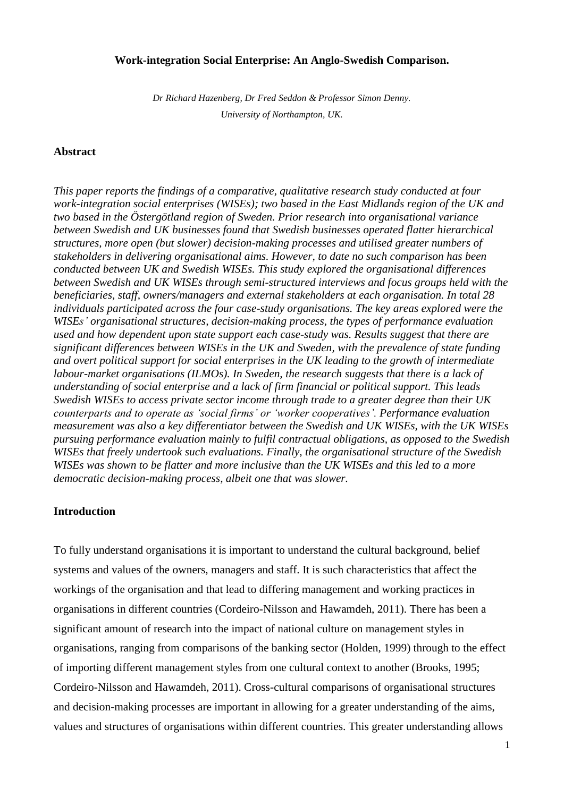## **Work-integration Social Enterprise: An Anglo-Swedish Comparison.**

*Dr Richard Hazenberg, Dr Fred Seddon & Professor Simon Denny. University of Northampton, UK.*

## **Abstract**

*This paper reports the findings of a comparative, qualitative research study conducted at four work-integration social enterprises (WISEs); two based in the East Midlands region of the UK and two based in the Östergötland region of Sweden. Prior research into organisational variance between Swedish and UK businesses found that Swedish businesses operated flatter hierarchical structures, more open (but slower) decision-making processes and utilised greater numbers of stakeholders in delivering organisational aims. However, to date no such comparison has been conducted between UK and Swedish WISEs. This study explored the organisational differences between Swedish and UK WISEs through semi-structured interviews and focus groups held with the beneficiaries, staff, owners/managers and external stakeholders at each organisation. In total 28 individuals participated across the four case-study organisations. The key areas explored were the WISEs' organisational structures, decision-making process, the types of performance evaluation used and how dependent upon state support each case-study was. Results suggest that there are significant differences between WISEs in the UK and Sweden, with the prevalence of state funding and overt political support for social enterprises in the UK leading to the growth of intermediate labour-market organisations (ILMOs). In Sweden, the research suggests that there is a lack of understanding of social enterprise and a lack of firm financial or political support. This leads Swedish WISEs to access private sector income through trade to a greater degree than their UK counterparts and to operate as 'social firms' or 'worker cooperatives'. Performance evaluation measurement was also a key differentiator between the Swedish and UK WISEs, with the UK WISEs pursuing performance evaluation mainly to fulfil contractual obligations, as opposed to the Swedish WISEs that freely undertook such evaluations. Finally, the organisational structure of the Swedish WISEs was shown to be flatter and more inclusive than the UK WISEs and this led to a more democratic decision-making process, albeit one that was slower.*

#### **Introduction**

To fully understand organisations it is important to understand the cultural background, belief systems and values of the owners, managers and staff. It is such characteristics that affect the workings of the organisation and that lead to differing management and working practices in organisations in different countries (Cordeiro-Nilsson and Hawamdeh, 2011). There has been a significant amount of research into the impact of national culture on management styles in organisations, ranging from comparisons of the banking sector (Holden, 1999) through to the effect of importing different management styles from one cultural context to another (Brooks, 1995; Cordeiro-Nilsson and Hawamdeh, 2011). Cross-cultural comparisons of organisational structures and decision-making processes are important in allowing for a greater understanding of the aims, values and structures of organisations within different countries. This greater understanding allows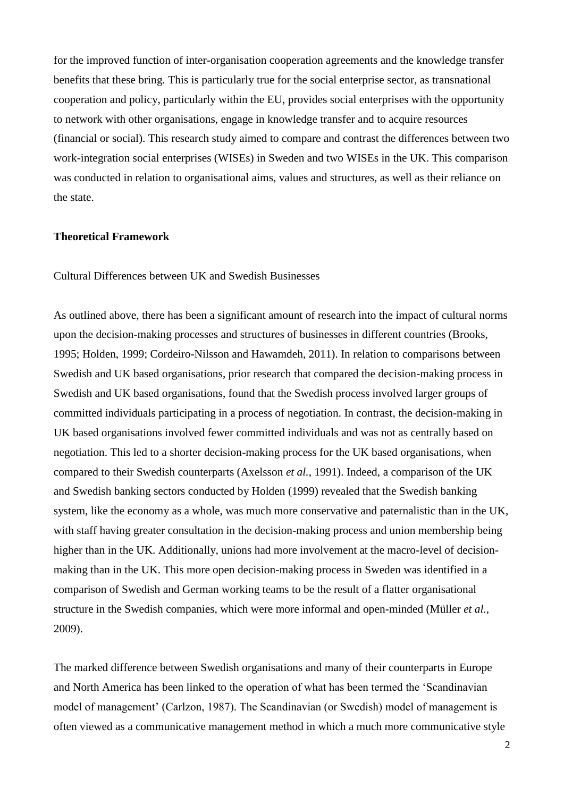for the improved function of inter-organisation cooperation agreements and the knowledge transfer benefits that these bring. This is particularly true for the social enterprise sector, as transnational cooperation and policy, particularly within the EU, provides social enterprises with the opportunity to network with other organisations, engage in knowledge transfer and to acquire resources (financial or social). This research study aimed to compare and contrast the differences between two work-integration social enterprises (WISEs) in Sweden and two WISEs in the UK. This comparison was conducted in relation to organisational aims, values and structures, as well as their reliance on the state.

### **Theoretical Framework**

Cultural Differences between UK and Swedish Businesses

As outlined above, there has been a significant amount of research into the impact of cultural norms upon the decision-making processes and structures of businesses in different countries (Brooks, 1995; Holden, 1999; Cordeiro-Nilsson and Hawamdeh, 2011). In relation to comparisons between Swedish and UK based organisations, prior research that compared the decision-making process in Swedish and UK based organisations, found that the Swedish process involved larger groups of committed individuals participating in a process of negotiation. In contrast, the decision-making in UK based organisations involved fewer committed individuals and was not as centrally based on negotiation. This led to a shorter decision-making process for the UK based organisations, when compared to their Swedish counterparts (Axelsson *et al.*, 1991). Indeed, a comparison of the UK and Swedish banking sectors conducted by Holden (1999) revealed that the Swedish banking system, like the economy as a whole, was much more conservative and paternalistic than in the UK, with staff having greater consultation in the decision-making process and union membership being higher than in the UK. Additionally, unions had more involvement at the macro-level of decisionmaking than in the UK. This more open decision-making process in Sweden was identified in a comparison of Swedish and German working teams to be the result of a flatter organisational structure in the Swedish companies, which were more informal and open-minded (Müller *et al.,*  2009).

The marked difference between Swedish organisations and many of their counterparts in Europe and North America has been linked to the operation of what has been termed the 'Scandinavian model of management' (Carlzon, 1987). The Scandinavian (or Swedish) model of management is often viewed as a communicative management method in which a much more communicative style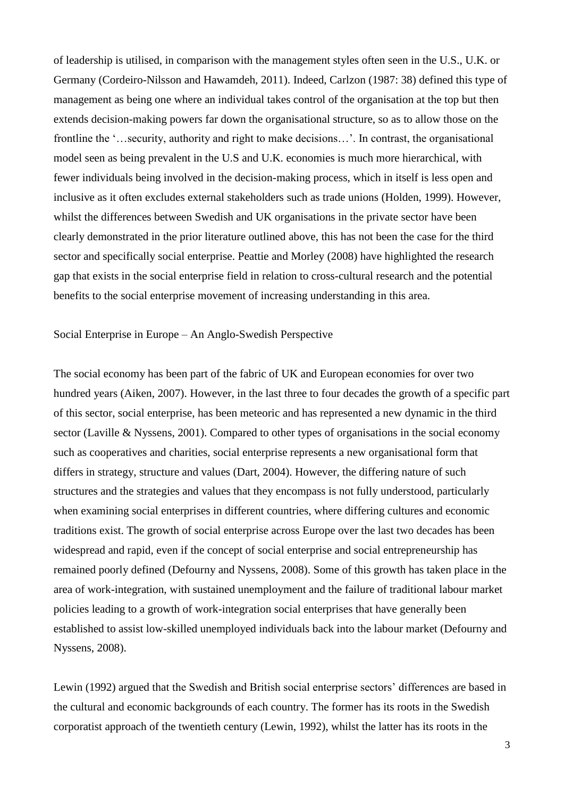of leadership is utilised, in comparison with the management styles often seen in the U.S., U.K. or Germany (Cordeiro-Nilsson and Hawamdeh, 2011). Indeed, Carlzon (1987: 38) defined this type of management as being one where an individual takes control of the organisation at the top but then extends decision-making powers far down the organisational structure, so as to allow those on the frontline the '…security, authority and right to make decisions…'. In contrast, the organisational model seen as being prevalent in the U.S and U.K. economies is much more hierarchical, with fewer individuals being involved in the decision-making process, which in itself is less open and inclusive as it often excludes external stakeholders such as trade unions (Holden, 1999). However, whilst the differences between Swedish and UK organisations in the private sector have been clearly demonstrated in the prior literature outlined above, this has not been the case for the third sector and specifically social enterprise. Peattie and Morley (2008) have highlighted the research gap that exists in the social enterprise field in relation to cross-cultural research and the potential benefits to the social enterprise movement of increasing understanding in this area.

Social Enterprise in Europe – An Anglo-Swedish Perspective

The social economy has been part of the fabric of UK and European economies for over two hundred years (Aiken, 2007). However, in the last three to four decades the growth of a specific part of this sector, social enterprise, has been meteoric and has represented a new dynamic in the third sector (Laville & Nyssens, 2001). Compared to other types of organisations in the social economy such as cooperatives and charities, social enterprise represents a new organisational form that differs in strategy, structure and values (Dart, 2004). However, the differing nature of such structures and the strategies and values that they encompass is not fully understood, particularly when examining social enterprises in different countries, where differing cultures and economic traditions exist. The growth of social enterprise across Europe over the last two decades has been widespread and rapid, even if the concept of social enterprise and social entrepreneurship has remained poorly defined (Defourny and Nyssens, 2008). Some of this growth has taken place in the area of work-integration, with sustained unemployment and the failure of traditional labour market policies leading to a growth of work-integration social enterprises that have generally been established to assist low-skilled unemployed individuals back into the labour market (Defourny and Nyssens, 2008).

Lewin (1992) argued that the Swedish and British social enterprise sectors' differences are based in the cultural and economic backgrounds of each country. The former has its roots in the Swedish corporatist approach of the twentieth century (Lewin, 1992), whilst the latter has its roots in the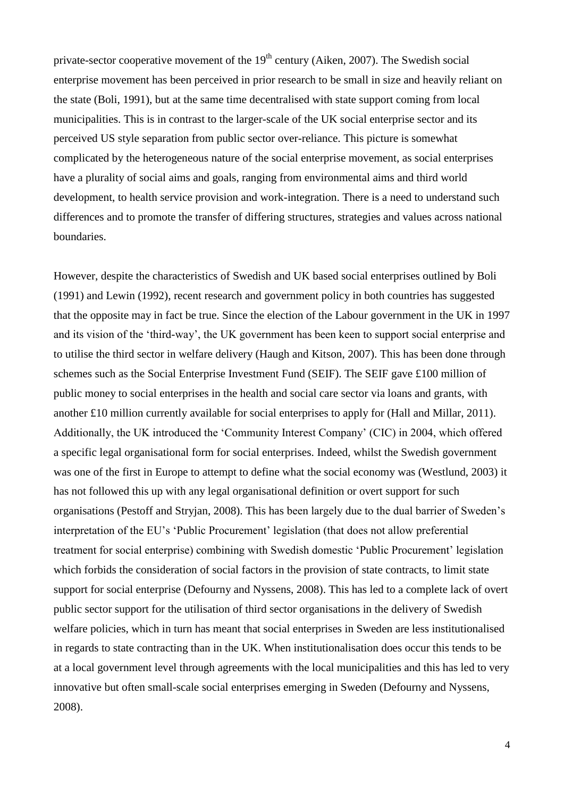private-sector cooperative movement of the  $19<sup>th</sup>$  century (Aiken, 2007). The Swedish social enterprise movement has been perceived in prior research to be small in size and heavily reliant on the state (Boli, 1991), but at the same time decentralised with state support coming from local municipalities. This is in contrast to the larger-scale of the UK social enterprise sector and its perceived US style separation from public sector over-reliance. This picture is somewhat complicated by the heterogeneous nature of the social enterprise movement, as social enterprises have a plurality of social aims and goals, ranging from environmental aims and third world development, to health service provision and work-integration. There is a need to understand such differences and to promote the transfer of differing structures, strategies and values across national boundaries.

However, despite the characteristics of Swedish and UK based social enterprises outlined by Boli (1991) and Lewin (1992), recent research and government policy in both countries has suggested that the opposite may in fact be true. Since the election of the Labour government in the UK in 1997 and its vision of the 'third-way', the UK government has been keen to support social enterprise and to utilise the third sector in welfare delivery (Haugh and Kitson, 2007). This has been done through schemes such as the Social Enterprise Investment Fund (SEIF). The SEIF gave £100 million of public money to social enterprises in the health and social care sector via loans and grants, with another £10 million currently available for social enterprises to apply for (Hall and Millar, 2011). Additionally, the UK introduced the 'Community Interest Company' (CIC) in 2004, which offered a specific legal organisational form for social enterprises. Indeed, whilst the Swedish government was one of the first in Europe to attempt to define what the social economy was (Westlund, 2003) it has not followed this up with any legal organisational definition or overt support for such organisations (Pestoff and Stryjan, 2008). This has been largely due to the dual barrier of Sweden's interpretation of the EU's 'Public Procurement' legislation (that does not allow preferential treatment for social enterprise) combining with Swedish domestic 'Public Procurement' legislation which forbids the consideration of social factors in the provision of state contracts, to limit state support for social enterprise (Defourny and Nyssens, 2008). This has led to a complete lack of overt public sector support for the utilisation of third sector organisations in the delivery of Swedish welfare policies, which in turn has meant that social enterprises in Sweden are less institutionalised in regards to state contracting than in the UK. When institutionalisation does occur this tends to be at a local government level through agreements with the local municipalities and this has led to very innovative but often small-scale social enterprises emerging in Sweden (Defourny and Nyssens, 2008).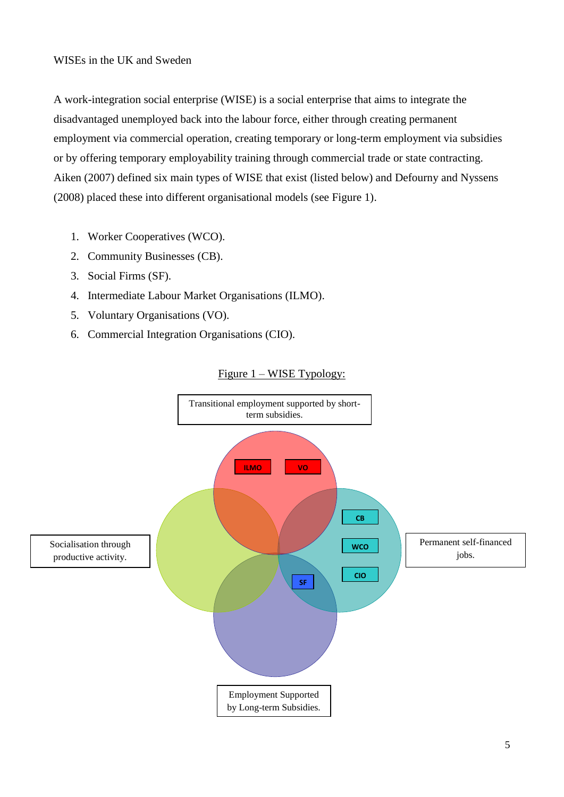## WISEs in the UK and Sweden

A work-integration social enterprise (WISE) is a social enterprise that aims to integrate the disadvantaged unemployed back into the labour force, either through creating permanent employment via commercial operation, creating temporary or long-term employment via subsidies or by offering temporary employability training through commercial trade or state contracting. Aiken (2007) defined six main types of WISE that exist (listed below) and Defourny and Nyssens (2008) placed these into different organisational models (see Figure 1).

- 1. Worker Cooperatives (WCO).
- 2. Community Businesses (CB).
- 3. Social Firms (SF).
- 4. Intermediate Labour Market Organisations (ILMO).
- 5. Voluntary Organisations (VO).
- 6. Commercial Integration Organisations (CIO).



# Figure 1 – WISE Typology: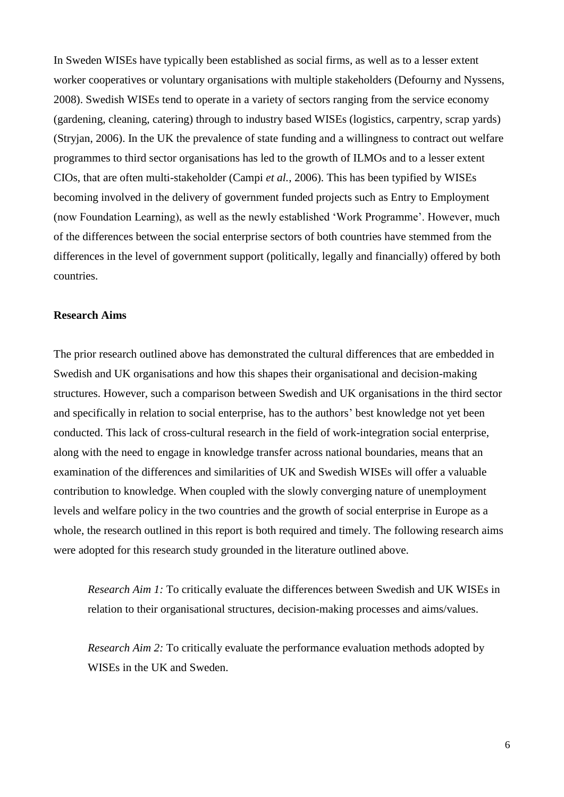In Sweden WISEs have typically been established as social firms, as well as to a lesser extent worker cooperatives or voluntary organisations with multiple stakeholders (Defourny and Nyssens, 2008). Swedish WISEs tend to operate in a variety of sectors ranging from the service economy (gardening, cleaning, catering) through to industry based WISEs (logistics, carpentry, scrap yards) (Stryjan, 2006). In the UK the prevalence of state funding and a willingness to contract out welfare programmes to third sector organisations has led to the growth of ILMOs and to a lesser extent CIOs, that are often multi-stakeholder (Campi *et al.*, 2006). This has been typified by WISEs becoming involved in the delivery of government funded projects such as Entry to Employment (now Foundation Learning), as well as the newly established 'Work Programme'. However, much of the differences between the social enterprise sectors of both countries have stemmed from the differences in the level of government support (politically, legally and financially) offered by both countries.

## **Research Aims**

The prior research outlined above has demonstrated the cultural differences that are embedded in Swedish and UK organisations and how this shapes their organisational and decision-making structures. However, such a comparison between Swedish and UK organisations in the third sector and specifically in relation to social enterprise, has to the authors' best knowledge not yet been conducted. This lack of cross-cultural research in the field of work-integration social enterprise, along with the need to engage in knowledge transfer across national boundaries, means that an examination of the differences and similarities of UK and Swedish WISEs will offer a valuable contribution to knowledge. When coupled with the slowly converging nature of unemployment levels and welfare policy in the two countries and the growth of social enterprise in Europe as a whole, the research outlined in this report is both required and timely. The following research aims were adopted for this research study grounded in the literature outlined above.

*Research Aim 1:* To critically evaluate the differences between Swedish and UK WISEs in relation to their organisational structures, decision-making processes and aims/values.

*Research Aim 2:* To critically evaluate the performance evaluation methods adopted by WISEs in the UK and Sweden.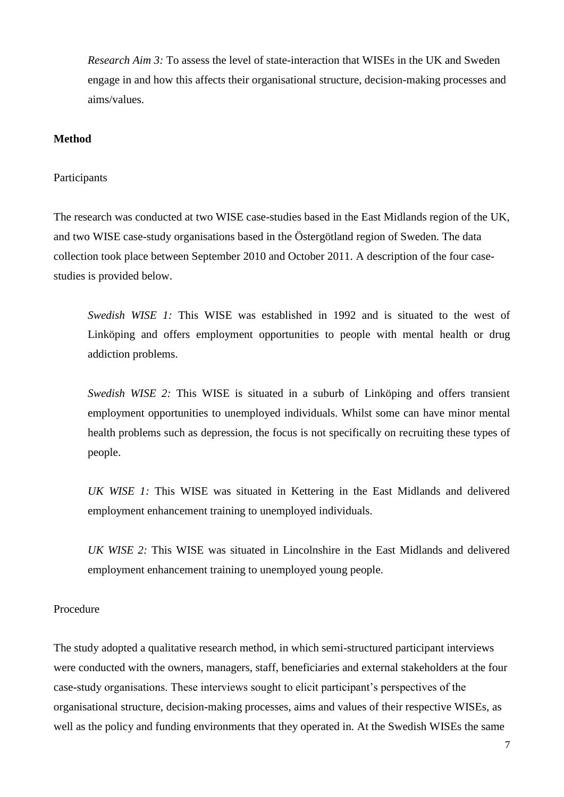*Research Aim 3:* To assess the level of state-interaction that WISEs in the UK and Sweden engage in and how this affects their organisational structure, decision-making processes and aims/values.

#### **Method**

#### Participants

The research was conducted at two WISE case-studies based in the East Midlands region of the UK, and two WISE case-study organisations based in the Östergötland region of Sweden. The data collection took place between September 2010 and October 2011. A description of the four casestudies is provided below.

*Swedish WISE 1:* This WISE was established in 1992 and is situated to the west of Linköping and offers employment opportunities to people with mental health or drug addiction problems.

*Swedish WISE 2:* This WISE is situated in a suburb of Linköping and offers transient employment opportunities to unemployed individuals. Whilst some can have minor mental health problems such as depression, the focus is not specifically on recruiting these types of people.

*UK WISE 1:* This WISE was situated in Kettering in the East Midlands and delivered employment enhancement training to unemployed individuals.

*UK WISE 2:* This WISE was situated in Lincolnshire in the East Midlands and delivered employment enhancement training to unemployed young people.

## Procedure

The study adopted a qualitative research method, in which semi-structured participant interviews were conducted with the owners, managers, staff, beneficiaries and external stakeholders at the four case-study organisations. These interviews sought to elicit participant's perspectives of the organisational structure, decision-making processes, aims and values of their respective WISEs, as well as the policy and funding environments that they operated in. At the Swedish WISEs the same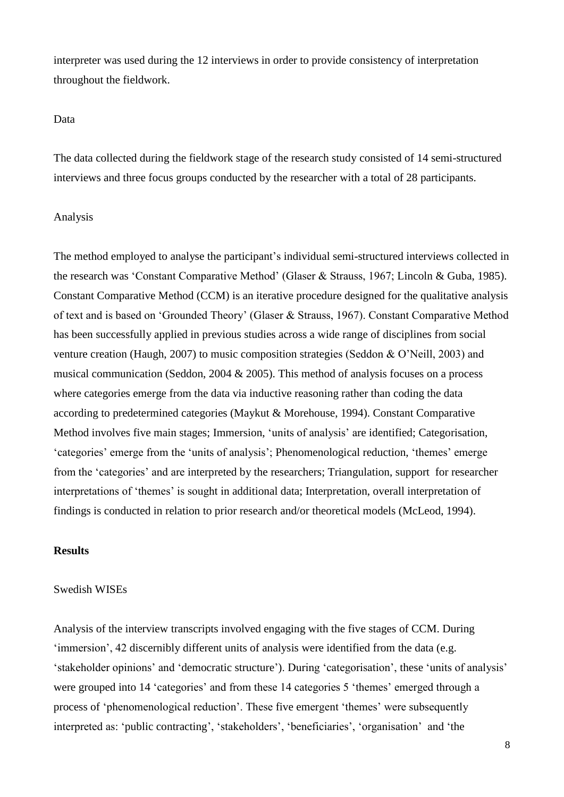interpreter was used during the 12 interviews in order to provide consistency of interpretation throughout the fieldwork.

## Data

The data collected during the fieldwork stage of the research study consisted of 14 semi-structured interviews and three focus groups conducted by the researcher with a total of 28 participants.

### Analysis

The method employed to analyse the participant's individual semi-structured interviews collected in the research was 'Constant Comparative Method' (Glaser & Strauss, 1967; Lincoln & Guba, 1985). Constant Comparative Method (CCM) is an iterative procedure designed for the qualitative analysis of text and is based on 'Grounded Theory' (Glaser & Strauss, 1967). Constant Comparative Method has been successfully applied in previous studies across a wide range of disciplines from social venture creation (Haugh, 2007) to music composition strategies (Seddon & O'Neill, 2003) and musical communication (Seddon, 2004 & 2005). This method of analysis focuses on a process where categories emerge from the data via inductive reasoning rather than coding the data according to predetermined categories (Maykut & Morehouse, 1994). Constant Comparative Method involves five main stages; Immersion, 'units of analysis' are identified; Categorisation, 'categories' emerge from the 'units of analysis'; Phenomenological reduction, 'themes' emerge from the 'categories' and are interpreted by the researchers; Triangulation, support for researcher interpretations of 'themes' is sought in additional data; Interpretation, overall interpretation of findings is conducted in relation to prior research and/or theoretical models (McLeod, 1994).

## **Results**

#### Swedish WISEs

Analysis of the interview transcripts involved engaging with the five stages of CCM. During 'immersion', 42 discernibly different units of analysis were identified from the data (e.g. 'stakeholder opinions' and 'democratic structure'). During 'categorisation', these 'units of analysis' were grouped into 14 'categories' and from these 14 categories 5 'themes' emerged through a process of 'phenomenological reduction'. These five emergent 'themes' were subsequently interpreted as: 'public contracting', 'stakeholders', 'beneficiaries', 'organisation' and 'the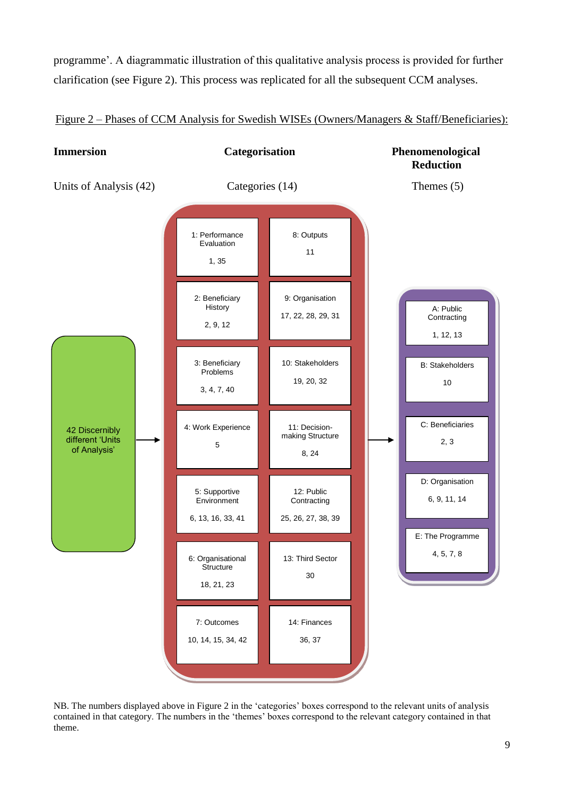programme'. A diagrammatic illustration of this qualitative analysis process is provided for further clarification (see Figure 2). This process was replicated for all the subsequent CCM analyses.



Figure 2 – Phases of CCM Analysis for Swedish WISEs (Owners/Managers & Staff/Beneficiaries):

NB. The numbers displayed above in Figure 2 in the 'categories' boxes correspond to the relevant units of analysis contained in that category. The numbers in the 'themes' boxes correspond to the relevant category contained in that theme.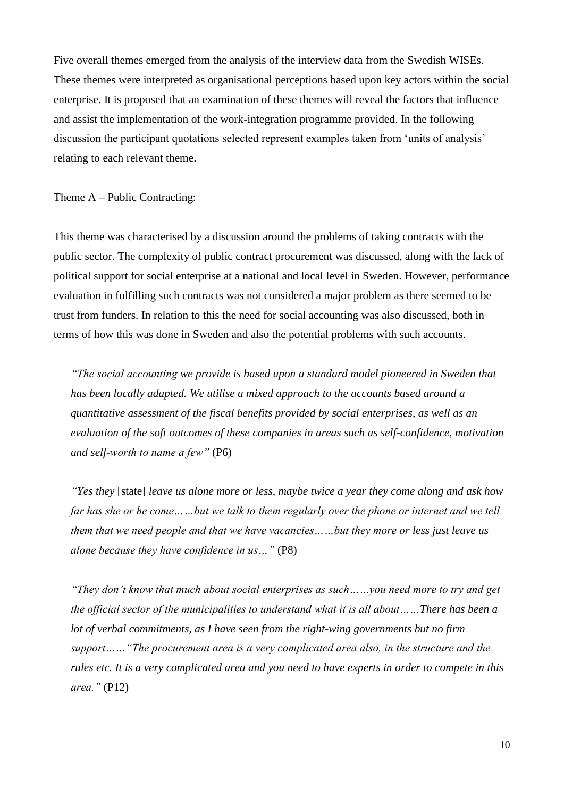Five overall themes emerged from the analysis of the interview data from the Swedish WISEs. These themes were interpreted as organisational perceptions based upon key actors within the social enterprise. It is proposed that an examination of these themes will reveal the factors that influence and assist the implementation of the work-integration programme provided. In the following discussion the participant quotations selected represent examples taken from 'units of analysis' relating to each relevant theme.

Theme A – Public Contracting:

This theme was characterised by a discussion around the problems of taking contracts with the public sector. The complexity of public contract procurement was discussed, along with the lack of political support for social enterprise at a national and local level in Sweden. However, performance evaluation in fulfilling such contracts was not considered a major problem as there seemed to be trust from funders. In relation to this the need for social accounting was also discussed, both in terms of how this was done in Sweden and also the potential problems with such accounts.

*"The social accounting we provide is based upon a standard model pioneered in Sweden that has been locally adapted. We utilise a mixed approach to the accounts based around a quantitative assessment of the fiscal benefits provided by social enterprises, as well as an evaluation of the soft outcomes of these companies in areas such as self-confidence, motivation and self-worth to name a few"* (P6)

*"Yes they* [state] *leave us alone more or less, maybe twice a year they come along and ask how far has she or he come……but we talk to them regularly over the phone or internet and we tell them that we need people and that we have vacancies……but they more or less just leave us alone because they have confidence in us…"* (P8)

*"They don't know that much about social enterprises as such……you need more to try and get the official sector of the municipalities to understand what it is all about……There has been a lot of verbal commitments, as I have seen from the right-wing governments but no firm support……"The procurement area is a very complicated area also, in the structure and the rules etc. It is a very complicated area and you need to have experts in order to compete in this area."* (P12)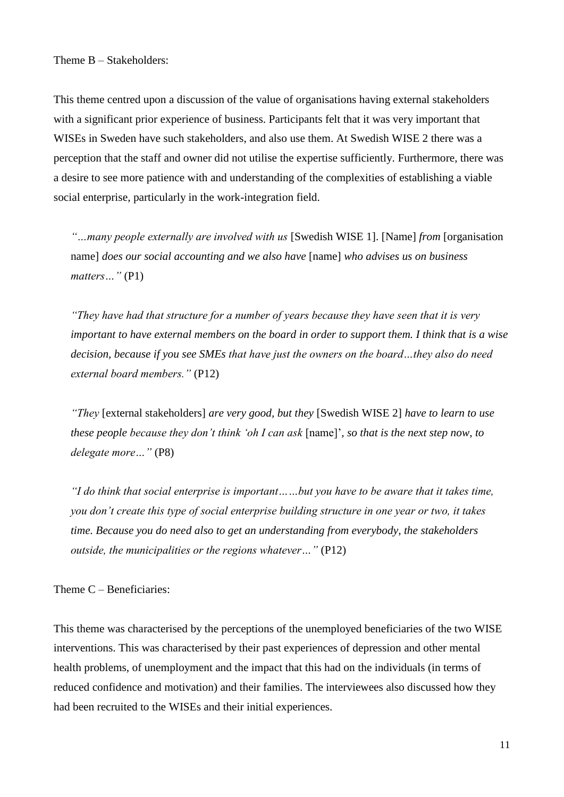This theme centred upon a discussion of the value of organisations having external stakeholders with a significant prior experience of business. Participants felt that it was very important that WISEs in Sweden have such stakeholders, and also use them. At Swedish WISE 2 there was a perception that the staff and owner did not utilise the expertise sufficiently. Furthermore, there was a desire to see more patience with and understanding of the complexities of establishing a viable social enterprise, particularly in the work-integration field.

*"…many people externally are involved with us* [Swedish WISE 1]. [Name] *from* [organisation name] *does our social accounting and we also have* [name] *who advises us on business matters…"* (P1)

*"They have had that structure for a number of years because they have seen that it is very important to have external members on the board in order to support them. I think that is a wise decision, because if you see SMEs that have just the owners on the board…they also do need external board members."* (P12)

*"They* [external stakeholders] *are very good, but they* [Swedish WISE 2] *have to learn to use these people because they don't think 'oh I can ask* [name]'*, so that is the next step now, to delegate more…"* (P8)

*"I do think that social enterprise is important……but you have to be aware that it takes time, you don't create this type of social enterprise building structure in one year or two, it takes time. Because you do need also to get an understanding from everybody, the stakeholders outside, the municipalities or the regions whatever…"* (P12)

Theme C – Beneficiaries:

This theme was characterised by the perceptions of the unemployed beneficiaries of the two WISE interventions. This was characterised by their past experiences of depression and other mental health problems, of unemployment and the impact that this had on the individuals (in terms of reduced confidence and motivation) and their families. The interviewees also discussed how they had been recruited to the WISEs and their initial experiences.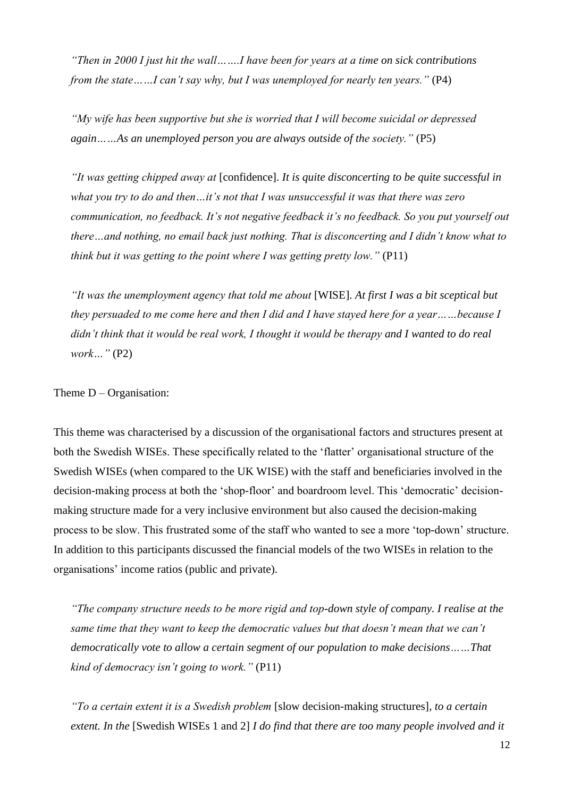*"Then in 2000 I just hit the wall…….I have been for years at a time on sick contributions from the state……I can't say why, but I was unemployed for nearly ten years.*" (P4)

*"My wife has been supportive but she is worried that I will become suicidal or depressed again……As an unemployed person you are always outside of the society."* (P5)

*"It was getting chipped away at* [confidence]. *It is quite disconcerting to be quite successful in what you try to do and then…it's not that I was unsuccessful it was that there was zero communication, no feedback. It's not negative feedback it's no feedback. So you put yourself out there…and nothing, no email back just nothing. That is disconcerting and I didn't know what to think but it was getting to the point where I was getting pretty low.*" *(P11)* 

*"It was the unemployment agency that told me about* [WISE]. *At first I was a bit sceptical but they persuaded to me come here and then I did and I have stayed here for a year……because I didn't think that it would be real work, I thought it would be therapy and I wanted to do real work…"* (P2)

Theme D – Organisation:

This theme was characterised by a discussion of the organisational factors and structures present at both the Swedish WISEs. These specifically related to the 'flatter' organisational structure of the Swedish WISEs (when compared to the UK WISE) with the staff and beneficiaries involved in the decision-making process at both the 'shop-floor' and boardroom level. This 'democratic' decisionmaking structure made for a very inclusive environment but also caused the decision-making process to be slow. This frustrated some of the staff who wanted to see a more 'top-down' structure. In addition to this participants discussed the financial models of the two WISEs in relation to the organisations' income ratios (public and private).

*"The company structure needs to be more rigid and top-down style of company. I realise at the same time that they want to keep the democratic values but that doesn't mean that we can't democratically vote to allow a certain segment of our population to make decisions……That kind of democracy isn't going to work."* (P11)

*"To a certain extent it is a Swedish problem* [slow decision-making structures]*, to a certain extent. In the* [Swedish WISEs 1 and 2] *I do find that there are too many people involved and it*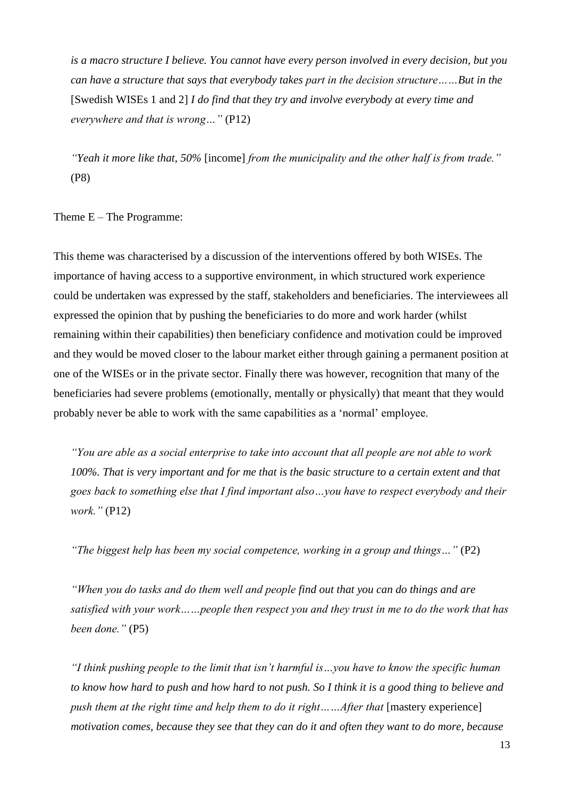*is a macro structure I believe. You cannot have every person involved in every decision, but you can have a structure that says that everybody takes part in the decision structure……But in the*  [Swedish WISEs 1 and 2] *I do find that they try and involve everybody at every time and everywhere and that is wrong…"* (P12)

*"Yeah it more like that, 50%* [income] *from the municipality and the other half is from trade."*  (P8)

Theme E – The Programme:

This theme was characterised by a discussion of the interventions offered by both WISEs. The importance of having access to a supportive environment, in which structured work experience could be undertaken was expressed by the staff, stakeholders and beneficiaries. The interviewees all expressed the opinion that by pushing the beneficiaries to do more and work harder (whilst remaining within their capabilities) then beneficiary confidence and motivation could be improved and they would be moved closer to the labour market either through gaining a permanent position at one of the WISEs or in the private sector. Finally there was however, recognition that many of the beneficiaries had severe problems (emotionally, mentally or physically) that meant that they would probably never be able to work with the same capabilities as a 'normal' employee.

*"You are able as a social enterprise to take into account that all people are not able to work 100%. That is very important and for me that is the basic structure to a certain extent and that goes back to something else that I find important also…you have to respect everybody and their work."* (P12)

*"The biggest help has been my social competence, working in a group and things…"* (P2)

*"When you do tasks and do them well and people find out that you can do things and are satisfied with your work……people then respect you and they trust in me to do the work that has been done."* (P5)

*"I think pushing people to the limit that isn't harmful is…you have to know the specific human to know how hard to push and how hard to not push. So I think it is a good thing to believe and push them at the right time and help them to do it right......After that* [mastery experience] *motivation comes, because they see that they can do it and often they want to do more, because*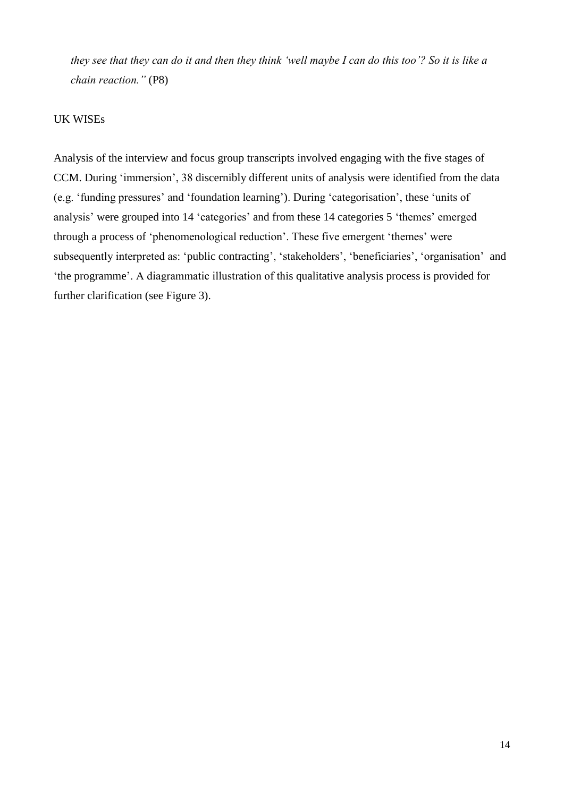*they see that they can do it and then they think 'well maybe I can do this too'? So it is like a chain reaction."* (P8)

## UK WISEs

Analysis of the interview and focus group transcripts involved engaging with the five stages of CCM. During 'immersion', 38 discernibly different units of analysis were identified from the data (e.g. 'funding pressures' and 'foundation learning'). During 'categorisation', these 'units of analysis' were grouped into 14 'categories' and from these 14 categories 5 'themes' emerged through a process of 'phenomenological reduction'. These five emergent 'themes' were subsequently interpreted as: 'public contracting', 'stakeholders', 'beneficiaries', 'organisation' and 'the programme'. A diagrammatic illustration of this qualitative analysis process is provided for further clarification (see Figure 3).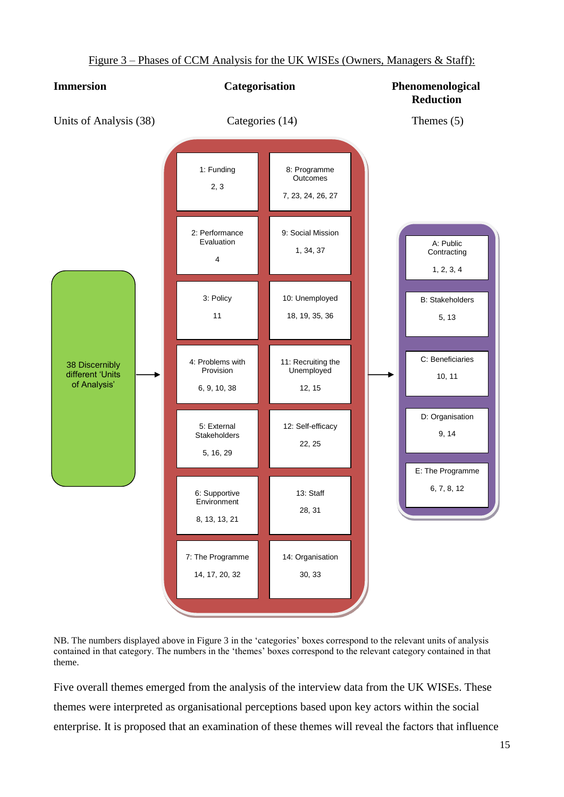

Figure 3 – Phases of CCM Analysis for the UK WISEs (Owners, Managers & Staff):

NB. The numbers displayed above in Figure 3 in the 'categories' boxes correspond to the relevant units of analysis contained in that category. The numbers in the 'themes' boxes correspond to the relevant category contained in that theme.

Five overall themes emerged from the analysis of the interview data from the UK WISEs. These themes were interpreted as organisational perceptions based upon key actors within the social enterprise. It is proposed that an examination of these themes will reveal the factors that influence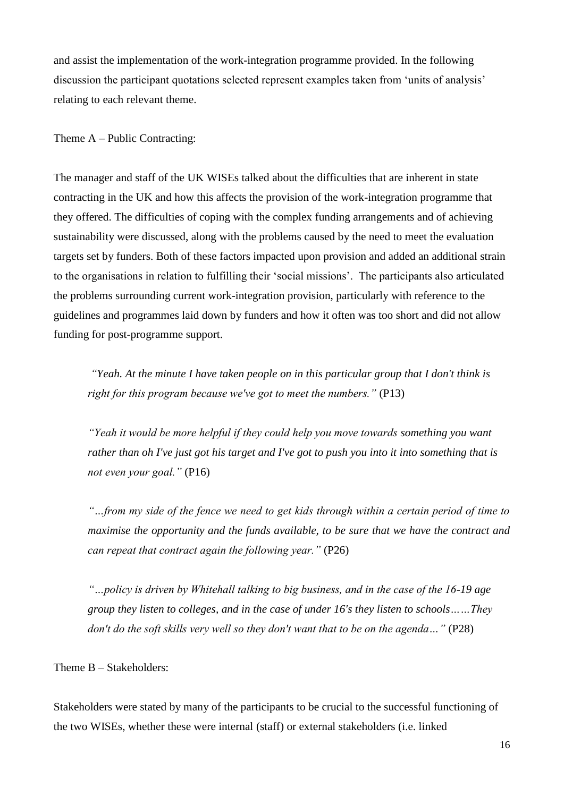and assist the implementation of the work-integration programme provided. In the following discussion the participant quotations selected represent examples taken from 'units of analysis' relating to each relevant theme.

### Theme A – Public Contracting:

The manager and staff of the UK WISEs talked about the difficulties that are inherent in state contracting in the UK and how this affects the provision of the work-integration programme that they offered. The difficulties of coping with the complex funding arrangements and of achieving sustainability were discussed, along with the problems caused by the need to meet the evaluation targets set by funders. Both of these factors impacted upon provision and added an additional strain to the organisations in relation to fulfilling their 'social missions'. The participants also articulated the problems surrounding current work-integration provision, particularly with reference to the guidelines and programmes laid down by funders and how it often was too short and did not allow funding for post-programme support.

*"Yeah. At the minute I have taken people on in this particular group that I don't think is right for this program because we've got to meet the numbers."* (P13)

*"Yeah it would be more helpful if they could help you move towards something you want rather than oh I've just got his target and I've got to push you into it into something that is not even your goal."* (P16)

*"…from my side of the fence we need to get kids through within a certain period of time to maximise the opportunity and the funds available, to be sure that we have the contract and can repeat that contract again the following year."* (P26)

*"…policy is driven by Whitehall talking to big business, and in the case of the 16-19 age group they listen to colleges, and in the case of under 16's they listen to schools……They don't do the soft skills very well so they don't want that to be on the agenda...*" (P28)

Theme B – Stakeholders:

Stakeholders were stated by many of the participants to be crucial to the successful functioning of the two WISEs, whether these were internal (staff) or external stakeholders (i.e. linked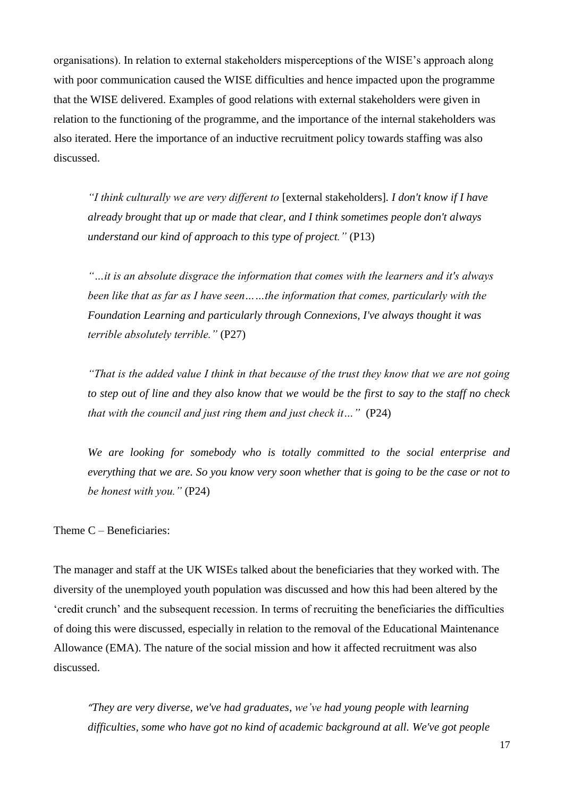organisations). In relation to external stakeholders misperceptions of the WISE's approach along with poor communication caused the WISE difficulties and hence impacted upon the programme that the WISE delivered. Examples of good relations with external stakeholders were given in relation to the functioning of the programme, and the importance of the internal stakeholders was also iterated. Here the importance of an inductive recruitment policy towards staffing was also discussed.

*"I think culturally we are very different to* [external stakeholders]*. I don't know if I have already brought that up or made that clear, and I think sometimes people don't always understand our kind of approach to this type of project."* (P13)

*"…it is an absolute disgrace the information that comes with the learners and it's always been like that as far as I have seen……the information that comes, particularly with the Foundation Learning and particularly through Connexions, I've always thought it was terrible absolutely terrible."* (P27)

*"That is the added value I think in that because of the trust they know that we are not going to step out of line and they also know that we would be the first to say to the staff no check that with the council and just ring them and just check it...*" *(P24)* 

*We are looking for somebody who is totally committed to the social enterprise and everything that we are. So you know very soon whether that is going to be the case or not to be honest with you."* (P24)

Theme C – Beneficiaries:

The manager and staff at the UK WISEs talked about the beneficiaries that they worked with. The diversity of the unemployed youth population was discussed and how this had been altered by the 'credit crunch' and the subsequent recession. In terms of recruiting the beneficiaries the difficulties of doing this were discussed, especially in relation to the removal of the Educational Maintenance Allowance (EMA). The nature of the social mission and how it affected recruitment was also discussed.

*"They are very diverse, we've had graduates, we've had young people with learning difficulties, some who have got no kind of academic background at all. We've got people*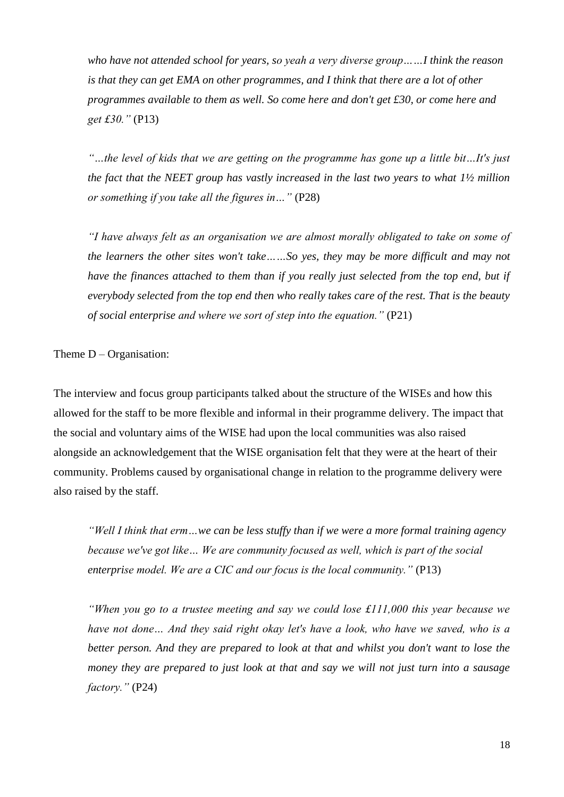*who have not attended school for years, so yeah a very diverse group……I think the reason is that they can get EMA on other programmes, and I think that there are a lot of other programmes available to them as well. So come here and don't get £30, or come here and get £30."* (P13)

*"…the level of kids that we are getting on the programme has gone up a little bit…It's just the fact that the NEET group has vastly increased in the last two years to what 1½ million or something if you take all the figures in…"* (P28)

*"I have always felt as an organisation we are almost morally obligated to take on some of the learners the other sites won't take……So yes, they may be more difficult and may not have the finances attached to them than if you really just selected from the top end, but if everybody selected from the top end then who really takes care of the rest. That is the beauty of social enterprise and where we sort of step into the equation."* (P21)

Theme  $D -$ Organisation:

The interview and focus group participants talked about the structure of the WISEs and how this allowed for the staff to be more flexible and informal in their programme delivery. The impact that the social and voluntary aims of the WISE had upon the local communities was also raised alongside an acknowledgement that the WISE organisation felt that they were at the heart of their community. Problems caused by organisational change in relation to the programme delivery were also raised by the staff.

*"Well I think that erm…we can be less stuffy than if we were a more formal training agency because we've got like… We are community focused as well, which is part of the social enterprise model. We are a CIC and our focus is the local community."* (P13)

*"When you go to a trustee meeting and say we could lose £111,000 this year because we have not done… And they said right okay let's have a look, who have we saved, who is a better person. And they are prepared to look at that and whilst you don't want to lose the money they are prepared to just look at that and say we will not just turn into a sausage factory."* (P24)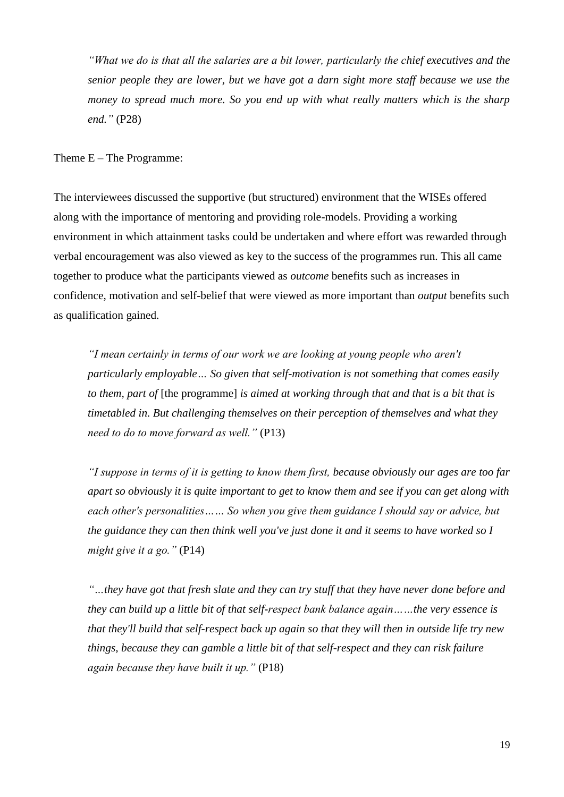*"What we do is that all the salaries are a bit lower, particularly the chief executives and the senior people they are lower, but we have got a darn sight more staff because we use the money to spread much more. So you end up with what really matters which is the sharp end."* (P28)

Theme E – The Programme:

The interviewees discussed the supportive (but structured) environment that the WISEs offered along with the importance of mentoring and providing role-models. Providing a working environment in which attainment tasks could be undertaken and where effort was rewarded through verbal encouragement was also viewed as key to the success of the programmes run. This all came together to produce what the participants viewed as *outcome* benefits such as increases in confidence, motivation and self-belief that were viewed as more important than *output* benefits such as qualification gained.

*"I mean certainly in terms of our work we are looking at young people who aren't particularly employable… So given that self-motivation is not something that comes easily to them, part of* [the programme] *is aimed at working through that and that is a bit that is timetabled in. But challenging themselves on their perception of themselves and what they need to do to move forward as well."* (P13)

*"I suppose in terms of it is getting to know them first, because obviously our ages are too far apart so obviously it is quite important to get to know them and see if you can get along with each other's personalities…… So when you give them guidance I should say or advice, but the guidance they can then think well you've just done it and it seems to have worked so I might give it a go."* (P14)

*"…they have got that fresh slate and they can try stuff that they have never done before and they can build up a little bit of that self-respect bank balance again……the very essence is that they'll build that self-respect back up again so that they will then in outside life try new things, because they can gamble a little bit of that self-respect and they can risk failure again because they have built it up."* (P18)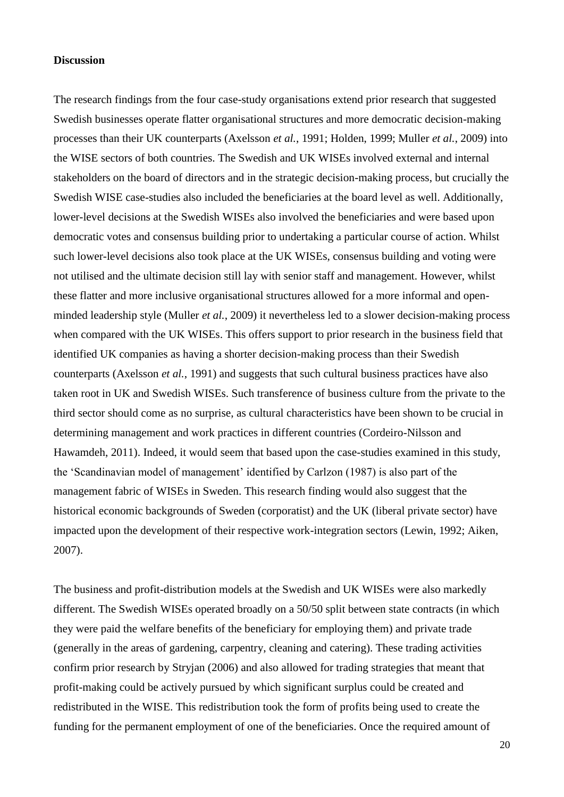### **Discussion**

The research findings from the four case-study organisations extend prior research that suggested Swedish businesses operate flatter organisational structures and more democratic decision-making processes than their UK counterparts (Axelsson *et al.*, 1991; Holden, 1999; Muller *et al.*, 2009) into the WISE sectors of both countries. The Swedish and UK WISEs involved external and internal stakeholders on the board of directors and in the strategic decision-making process, but crucially the Swedish WISE case-studies also included the beneficiaries at the board level as well. Additionally, lower-level decisions at the Swedish WISEs also involved the beneficiaries and were based upon democratic votes and consensus building prior to undertaking a particular course of action. Whilst such lower-level decisions also took place at the UK WISEs, consensus building and voting were not utilised and the ultimate decision still lay with senior staff and management. However, whilst these flatter and more inclusive organisational structures allowed for a more informal and openminded leadership style (Muller *et al.*, 2009) it nevertheless led to a slower decision-making process when compared with the UK WISEs. This offers support to prior research in the business field that identified UK companies as having a shorter decision-making process than their Swedish counterparts (Axelsson *et al.*, 1991) and suggests that such cultural business practices have also taken root in UK and Swedish WISEs. Such transference of business culture from the private to the third sector should come as no surprise, as cultural characteristics have been shown to be crucial in determining management and work practices in different countries (Cordeiro-Nilsson and Hawamdeh, 2011). Indeed, it would seem that based upon the case-studies examined in this study, the 'Scandinavian model of management' identified by Carlzon (1987) is also part of the management fabric of WISEs in Sweden. This research finding would also suggest that the historical economic backgrounds of Sweden (corporatist) and the UK (liberal private sector) have impacted upon the development of their respective work-integration sectors (Lewin, 1992; Aiken, 2007).

The business and profit-distribution models at the Swedish and UK WISEs were also markedly different. The Swedish WISEs operated broadly on a 50/50 split between state contracts (in which they were paid the welfare benefits of the beneficiary for employing them) and private trade (generally in the areas of gardening, carpentry, cleaning and catering). These trading activities confirm prior research by Stryjan (2006) and also allowed for trading strategies that meant that profit-making could be actively pursued by which significant surplus could be created and redistributed in the WISE. This redistribution took the form of profits being used to create the funding for the permanent employment of one of the beneficiaries. Once the required amount of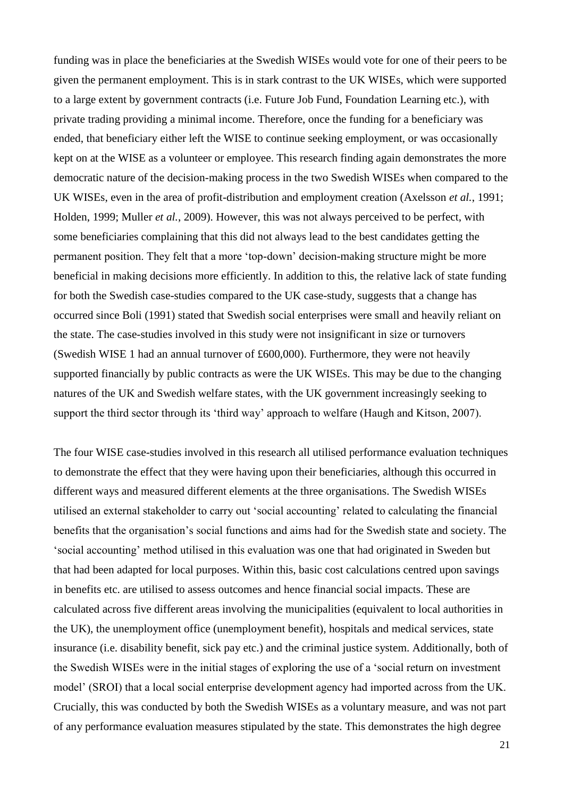funding was in place the beneficiaries at the Swedish WISEs would vote for one of their peers to be given the permanent employment. This is in stark contrast to the UK WISEs, which were supported to a large extent by government contracts (i.e. Future Job Fund, Foundation Learning etc.), with private trading providing a minimal income. Therefore, once the funding for a beneficiary was ended, that beneficiary either left the WISE to continue seeking employment, or was occasionally kept on at the WISE as a volunteer or employee. This research finding again demonstrates the more democratic nature of the decision-making process in the two Swedish WISEs when compared to the UK WISEs, even in the area of profit-distribution and employment creation (Axelsson *et al.*, 1991; Holden, 1999; Muller *et al.*, 2009). However, this was not always perceived to be perfect, with some beneficiaries complaining that this did not always lead to the best candidates getting the permanent position. They felt that a more 'top-down' decision-making structure might be more beneficial in making decisions more efficiently. In addition to this, the relative lack of state funding for both the Swedish case-studies compared to the UK case-study, suggests that a change has occurred since Boli (1991) stated that Swedish social enterprises were small and heavily reliant on the state. The case-studies involved in this study were not insignificant in size or turnovers (Swedish WISE 1 had an annual turnover of £600,000). Furthermore, they were not heavily supported financially by public contracts as were the UK WISEs. This may be due to the changing natures of the UK and Swedish welfare states, with the UK government increasingly seeking to support the third sector through its 'third way' approach to welfare (Haugh and Kitson, 2007).

The four WISE case-studies involved in this research all utilised performance evaluation techniques to demonstrate the effect that they were having upon their beneficiaries, although this occurred in different ways and measured different elements at the three organisations. The Swedish WISEs utilised an external stakeholder to carry out 'social accounting' related to calculating the financial benefits that the organisation's social functions and aims had for the Swedish state and society. The 'social accounting' method utilised in this evaluation was one that had originated in Sweden but that had been adapted for local purposes. Within this, basic cost calculations centred upon savings in benefits etc. are utilised to assess outcomes and hence financial social impacts. These are calculated across five different areas involving the municipalities (equivalent to local authorities in the UK), the unemployment office (unemployment benefit), hospitals and medical services, state insurance (i.e. disability benefit, sick pay etc.) and the criminal justice system. Additionally, both of the Swedish WISEs were in the initial stages of exploring the use of a 'social return on investment model' (SROI) that a local social enterprise development agency had imported across from the UK. Crucially, this was conducted by both the Swedish WISEs as a voluntary measure, and was not part of any performance evaluation measures stipulated by the state. This demonstrates the high degree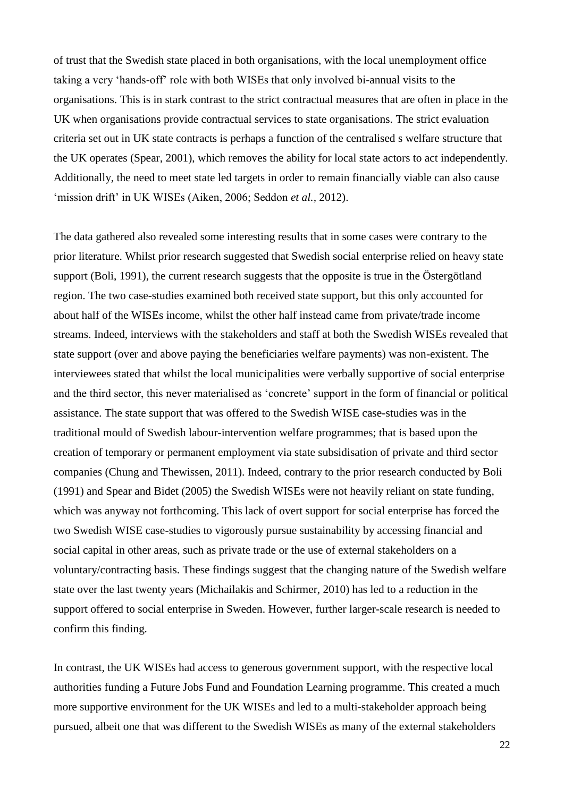of trust that the Swedish state placed in both organisations, with the local unemployment office taking a very 'hands-off' role with both WISEs that only involved bi-annual visits to the organisations. This is in stark contrast to the strict contractual measures that are often in place in the UK when organisations provide contractual services to state organisations. The strict evaluation criteria set out in UK state contracts is perhaps a function of the centralised s welfare structure that the UK operates (Spear, 2001), which removes the ability for local state actors to act independently. Additionally, the need to meet state led targets in order to remain financially viable can also cause 'mission drift' in UK WISEs (Aiken, 2006; Seddon *et al.,* 2012).

The data gathered also revealed some interesting results that in some cases were contrary to the prior literature. Whilst prior research suggested that Swedish social enterprise relied on heavy state support (Boli, 1991), the current research suggests that the opposite is true in the Östergötland region. The two case-studies examined both received state support, but this only accounted for about half of the WISEs income, whilst the other half instead came from private/trade income streams. Indeed, interviews with the stakeholders and staff at both the Swedish WISEs revealed that state support (over and above paying the beneficiaries welfare payments) was non-existent. The interviewees stated that whilst the local municipalities were verbally supportive of social enterprise and the third sector, this never materialised as 'concrete' support in the form of financial or political assistance. The state support that was offered to the Swedish WISE case-studies was in the traditional mould of Swedish labour-intervention welfare programmes; that is based upon the creation of temporary or permanent employment via state subsidisation of private and third sector companies (Chung and Thewissen, 2011). Indeed, contrary to the prior research conducted by Boli (1991) and Spear and Bidet (2005) the Swedish WISEs were not heavily reliant on state funding, which was anyway not forthcoming. This lack of overt support for social enterprise has forced the two Swedish WISE case-studies to vigorously pursue sustainability by accessing financial and social capital in other areas, such as private trade or the use of external stakeholders on a voluntary/contracting basis. These findings suggest that the changing nature of the Swedish welfare state over the last twenty years (Michailakis and Schirmer, 2010) has led to a reduction in the support offered to social enterprise in Sweden. However, further larger-scale research is needed to confirm this finding.

In contrast, the UK WISEs had access to generous government support, with the respective local authorities funding a Future Jobs Fund and Foundation Learning programme. This created a much more supportive environment for the UK WISEs and led to a multi-stakeholder approach being pursued, albeit one that was different to the Swedish WISEs as many of the external stakeholders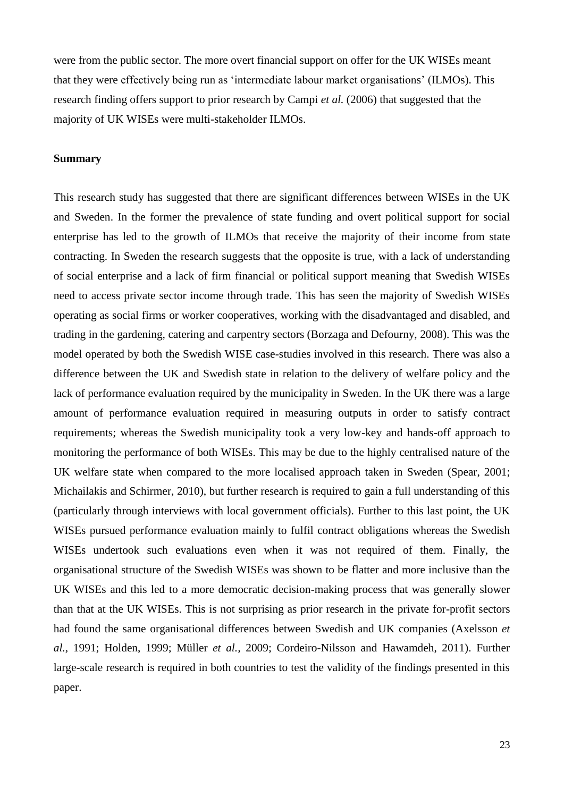were from the public sector. The more overt financial support on offer for the UK WISEs meant that they were effectively being run as 'intermediate labour market organisations' (ILMOs). This research finding offers support to prior research by Campi *et al.* (2006) that suggested that the majority of UK WISEs were multi-stakeholder ILMOs.

## **Summary**

This research study has suggested that there are significant differences between WISEs in the UK and Sweden. In the former the prevalence of state funding and overt political support for social enterprise has led to the growth of ILMOs that receive the majority of their income from state contracting. In Sweden the research suggests that the opposite is true, with a lack of understanding of social enterprise and a lack of firm financial or political support meaning that Swedish WISEs need to access private sector income through trade. This has seen the majority of Swedish WISEs operating as social firms or worker cooperatives, working with the disadvantaged and disabled, and trading in the gardening, catering and carpentry sectors (Borzaga and Defourny, 2008). This was the model operated by both the Swedish WISE case-studies involved in this research. There was also a difference between the UK and Swedish state in relation to the delivery of welfare policy and the lack of performance evaluation required by the municipality in Sweden. In the UK there was a large amount of performance evaluation required in measuring outputs in order to satisfy contract requirements; whereas the Swedish municipality took a very low-key and hands-off approach to monitoring the performance of both WISEs. This may be due to the highly centralised nature of the UK welfare state when compared to the more localised approach taken in Sweden (Spear, 2001; Michailakis and Schirmer, 2010), but further research is required to gain a full understanding of this (particularly through interviews with local government officials). Further to this last point, the UK WISEs pursued performance evaluation mainly to fulfil contract obligations whereas the Swedish WISEs undertook such evaluations even when it was not required of them. Finally, the organisational structure of the Swedish WISEs was shown to be flatter and more inclusive than the UK WISEs and this led to a more democratic decision-making process that was generally slower than that at the UK WISEs. This is not surprising as prior research in the private for-profit sectors had found the same organisational differences between Swedish and UK companies (Axelsson *et al.,* 1991; Holden, 1999; Müller *et al.,* 2009; Cordeiro-Nilsson and Hawamdeh, 2011). Further large-scale research is required in both countries to test the validity of the findings presented in this paper.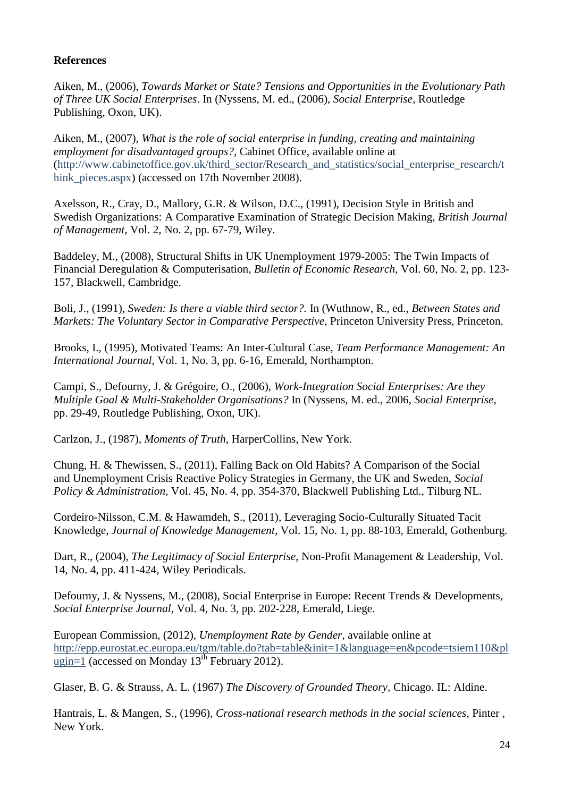# **References**

Aiken, M., (2006), *Towards Market or State? Tensions and Opportunities in the Evolutionary Path of Three UK Social Enterprises*. In (Nyssens, M. ed., (2006), *Social Enterprise*, Routledge Publishing, Oxon, UK).

Aiken, M., (2007), *[What is the role of social enterprise in funding, creating and maintaining](http://www.cabinetoffice.gov.uk/third_sector/Research_and_statistics/social_enterprise_research/think_pieces.aspx)  [employment for disadvantaged groups?](http://www.cabinetoffice.gov.uk/third_sector/Research_and_statistics/social_enterprise_research/think_pieces.aspx)*, Cabinet Office, available online at [\(http://www.cabinetoffice.gov.uk/third\\_sector/Research\\_and\\_statistics/social\\_enterprise\\_research/t](http://www.cabinetoffice.gov.uk/third_sector/Research_and_statistics/social_enterprise_research/think_pieces.aspx) hink pieces.aspx) (accessed on 17th November 2008).

Axelsson, R., Cray, D., Mallory, G.R. & Wilson, D.C., (1991), Decision Style in British and Swedish Organizations: A Comparative Examination of Strategic Decision Making, *British Journal of Management*, Vol. 2, No. 2, pp. 67-79, Wiley.

Baddeley, M., (2008), Structural Shifts in UK Unemployment 1979-2005: The Twin Impacts of Financial Deregulation & Computerisation, *Bulletin of Economic Research*, Vol. 60, No. 2, pp. 123- 157, Blackwell, Cambridge.

Boli, J., (1991), *Sweden: Is there a viable third sector?.* In (Wuthnow, R., ed., *Between States and Markets: The Voluntary Sector in Comparative Perspective*, Princeton University Press, Princeton.

Brooks, I., (1995), Motivated Teams: An Inter-Cultural Case, *Team Performance Management: An International Journal*, Vol. 1, No. 3, pp. 6-16, Emerald, Northampton.

Campi, S., Defourny, J. & Grégoire, O., (2006), *Work-Integration Social Enterprises: Are they Multiple Goal & Multi-Stakeholder Organisations?* In (Nyssens, M. ed., 2006, *Social Enterprise*, pp. 29-49, Routledge Publishing, Oxon, UK).

Carlzon, J., (1987), *Moments of Truth*, HarperCollins, New York.

Chung, H. & Thewissen, S., (2011), Falling Back on Old Habits? A Comparison of the Social and Unemployment Crisis Reactive Policy Strategies in Germany, the UK and Sweden, *Social Policy & Administration,* Vol. 45, No. 4, pp. 354-370, Blackwell Publishing Ltd., Tilburg NL.

Cordeiro-Nilsson, C.M. & Hawamdeh, S., (2011), Leveraging Socio-Culturally Situated Tacit Knowledge, *Journal of Knowledge Management*, Vol. 15, No. 1, pp. 88-103, Emerald, Gothenburg.

Dart, R., (2004), *The Legitimacy of Social Enterprise*, Non-Profit Management & Leadership, Vol. 14, No. 4, pp. 411-424, Wiley Periodicals.

Defourny, J. & Nyssens, M., (2008), Social Enterprise in Europe: Recent Trends & Developments, *Social Enterprise Journal*, Vol. 4, No. 3, pp. 202-228, Emerald, Liege.

European Commission, (2012), *Unemployment Rate by Gender*, available online at [http://epp.eurostat.ec.europa.eu/tgm/table.do?tab=table&init=1&language=en&pcode=tsiem110&pl](http://epp.eurostat.ec.europa.eu/tgm/table.do?tab=table&init=1&language=en&pcode=tsiem110&plugin=1) [ugin=1](http://epp.eurostat.ec.europa.eu/tgm/table.do?tab=table&init=1&language=en&pcode=tsiem110&plugin=1) (accessed on Monday  $13^{th}$  February 2012).

Glaser, B. G. & Strauss, A. L. (1967) *The Discovery of Grounded Theory,* Chicago. IL: Aldine.

Hantrais, L. & Mangen, S., (1996), *Cross-national research methods in the social sciences*, Pinter , New York.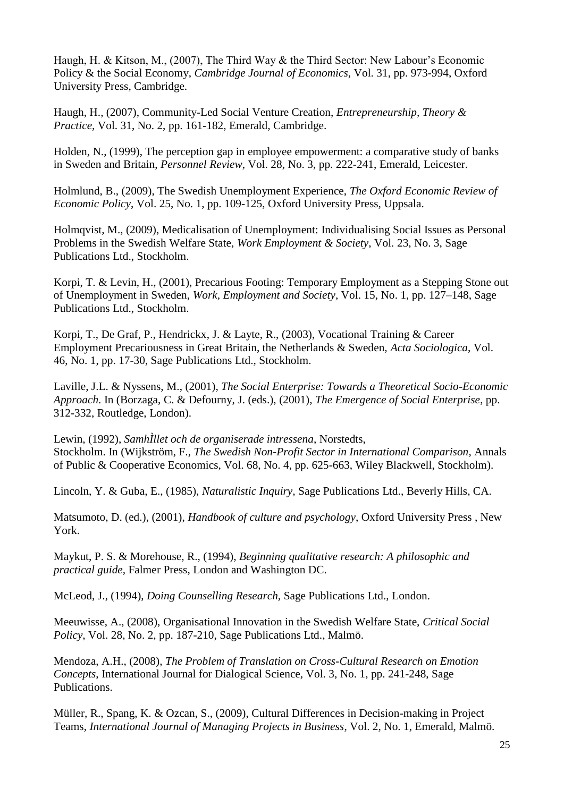Haugh, H. & Kitson, M., (2007), The Third Way & the Third Sector: New Labour's Economic Policy & the Social Economy, *Cambridge Journal of Economics*, Vol. 31, pp. 973-994, Oxford University Press, Cambridge.

Haugh, H., (2007), Community-Led Social Venture Creation, *Entrepreneurship, Theory & Practice,* Vol. 31, No. 2, pp. 161-182, Emerald, Cambridge.

Holden, N., (1999), The perception gap in employee empowerment: a comparative study of banks in Sweden and Britain, *Personnel Review*, Vol. 28, No. 3, pp. 222-241, Emerald, Leicester.

Holmlund, B., (2009), The Swedish Unemployment Experience, *The Oxford Economic Review of Economic Policy*, Vol. 25, No. 1, pp. 109-125, Oxford University Press, Uppsala.

Holmqvist, M., (2009), Medicalisation of Unemployment: Individualising Social Issues as Personal Problems in the Swedish Welfare State, *Work Employment & Society*, Vol. 23, No. 3, Sage Publications Ltd., Stockholm.

Korpi, T. & Levin, H., (2001), Precarious Footing: Temporary Employment as a Stepping Stone out of Unemployment in Sweden, *Work, Employment and Society*, Vol. 15, No. 1, pp. 127–148, Sage Publications Ltd., Stockholm.

Korpi, T., De Graf, P., Hendrickx, J. & Layte, R., (2003), Vocational Training & Career Employment Precariousness in Great Britain, the Netherlands & Sweden, *Acta Sociologica*, Vol. 46, No. 1, pp. 17-30, Sage Publications Ltd., Stockholm.

Laville, J.L. & Nyssens, M., (2001), *The Social Enterprise: Towards a Theoretical Socio-Economic Approach*. In (Borzaga, C. & Defourny, J. (eds.), (2001), *The Emergence of Social Enterprise*, pp. 312-332, Routledge, London).

Lewin, (1992), *SamhÌllet och de organiserade intressena*, Norstedts, Stockholm. In (Wijkström, F., *The Swedish Non-Profit Sector in International Comparison*, Annals of Public & Cooperative Economics, Vol. 68, No. 4, pp. 625-663, Wiley Blackwell, Stockholm).

Lincoln, Y. & Guba, E., (1985), *Naturalistic Inquiry,* Sage Publications Ltd., Beverly Hills, CA.

Matsumoto, D. (ed.), (2001), *Handbook of culture and psychology*, Oxford University Press , New York.

Maykut, P. S. & Morehouse, R., (1994), *Beginning qualitative research: A philosophic and practical guide,* Falmer Press, London and Washington DC.

McLeod, J., (1994), *Doing Counselling Research,* Sage Publications Ltd., London.

Meeuwisse, A., (2008), Organisational Innovation in the Swedish Welfare State, *Critical Social Policy*, Vol. 28, No. 2, pp. 187-210, Sage Publications Ltd., Malmö.

Mendoza, A.H., (2008), *The Problem of Translation on Cross-Cultural Research on Emotion Concepts*, International Journal for Dialogical Science*,* Vol. 3, No. 1, pp. 241-248, Sage Publications.

Müller, R., Spang, K. & Ozcan, S., (2009), Cultural Differences in Decision-making in Project Teams, *International Journal of Managing Projects in Business*, Vol. 2, No. 1, Emerald, Malmö.